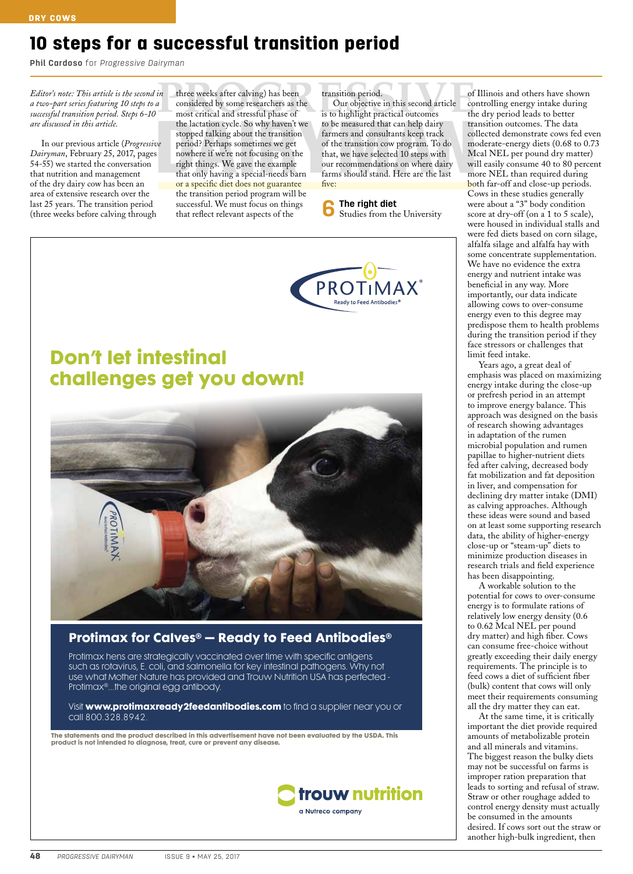# 10 steps for a successful transition period

**Phil Cardoso** for *Progressive Dairyman*

*Editor's note: This article is the second in a two-part series featuring 10 steps to a successful transition period. Steps 6-10 are discussed in this article.*

In our previous article (*Progressive Dairyman*, February 25, 2017, pages 54-55) we started the conversation that nutrition and management of the dry dairy cow has been an area of extensive research over the last 25 years. The transition period (three weeks before calving through

three weeks after calving) has been considered by some researchers as the most critical and stressful phase of the lactation cycle. So why haven't we stopped talking about the transition period? Perhaps sometimes we get nowhere if we're not focusing on the right things. We gave the example that only having a special-needs barn or a specific diet does not guarantee the transition period program will be successful. We must focus on things that reflect relevant aspects of the

#### transition period.

Our objective in this second article is to highlight practical outcomes to be measured that can help dairy farmers and consultants keep track of the transition cow program. To do that, we have selected 10 steps with our recommendations on where dairy farms should stand. Here are the last five:

**6 The right diet** Studies from the University



# **Don't let intestinal challenges get you down!**



### **Protimax for Calves® – Ready to Feed Antibodies®**

Protimax hens are strategically vaccinated over time with specific antigens such as rotavirus, E. coli, and salmonella for key intestinal pathogens. Why not use what Mother Nature has provided and Trouw Nutrition USA has perfected - Protimax®…the original egg antibody.

Visit **www.protimaxready2feedantibodies.com** to find a supplier near you or call 800.328.8942.

**The statements and the product described in this advertisement have not been evaluated by the USDA. This product is not intended to diagnose, treat, cure or prevent any disease.**



of Illinois and others have shown controlling energy intake during the dry period leads to better transition outcomes. The data collected demonstrate cows fed even moderate-energy diets (0.68 to 0.73 Mcal NEL per pound dry matter) will easily consume 40 to 80 percent more NEL than required during both far-off and close-up periods. Cows in these studies generally were about a "3" body condition score at dry-off (on a 1 to 5 scale), were housed in individual stalls and were fed diets based on corn silage, alfalfa silage and alfalfa hay with some concentrate supplementation. We have no evidence the extra energy and nutrient intake was beneficial in any way. More importantly, our data indicate allowing cows to over-consume energy even to this degree may predispose them to health problems during the transition period if they face stressors or challenges that limit feed intake.

Years ago, a great deal of emphasis was placed on maximizing energy intake during the close-up or prefresh period in an attempt to improve energy balance. This approach was designed on the basis of research showing advantages in adaptation of the rumen microbial population and rumen papillae to higher-nutrient diets fed after calving, decreased body fat mobilization and fat deposition in liver, and compensation for declining dry matter intake (DMI) as calving approaches. Although these ideas were sound and based on at least some supporting research data, the ability of higher-energy close-up or "steam-up" diets to minimize production diseases in research trials and field experience has been disappointing.

A workable solution to the potential for cows to over-consume energy is to formulate rations of relatively low energy density (0.6 to 0.62 Mcal NEL per pound dry matter) and high fiber. Cows can consume free-choice without greatly exceeding their daily energy requirements. The principle is to feed cows a diet of sufficient fiber (bulk) content that cows will only meet their requirements consuming all the dry matter they can eat.

At the same time, it is critically important the diet provide required amounts of metabolizable protein and all minerals and vitamins. The biggest reason the bulky diets may not be successful on farms is improper ration preparation that leads to sorting and refusal of straw. Straw or other roughage added to control energy density must actually be consumed in the amounts desired. If cows sort out the straw or another high-bulk ingredient, then